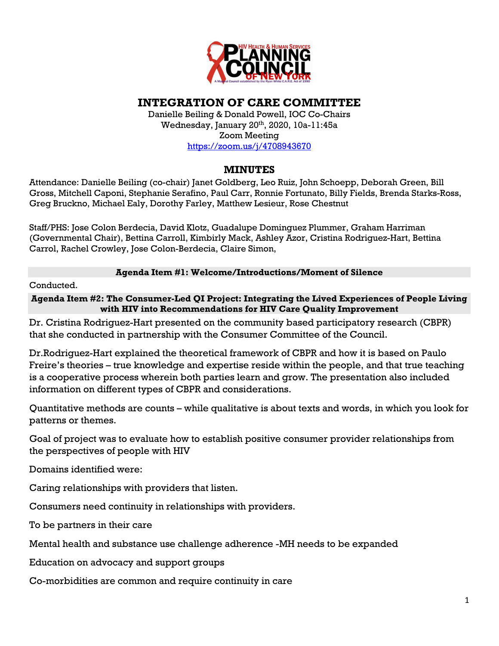

## **INTEGRATION OF CARE COMMITTEE**

Danielle Beiling & Donald Powell, IOC Co-Chairs Wednesday, January 20th, 2020, 10a-11:45a Zoom Meeting https://zoom.us/j/4708943670

**MINUTES**

Attendance: Danielle Beiling (co-chair) Janet Goldberg, Leo Ruiz, John Schoepp, Deborah Green, Bill Gross, Mitchell Caponi, Stephanie Serafino, Paul Carr, Ronnie Fortunato, Billy Fields, Brenda Starks-Ross, Greg Bruckno, Michael Ealy, Dorothy Farley, Matthew Lesieur, Rose Chestnut

Staff/PHS: Jose Colon Berdecia, David Klotz, Guadalupe Dominguez Plummer, Graham Harriman (Governmental Chair), Bettina Carroll, Kimbirly Mack, Ashley Azor, Cristina Rodriguez-Hart, Bettina Carrol, Rachel Crowley, Jose Colon-Berdecia, Claire Simon,

**Agenda Item #1: Welcome/Introductions/Moment of Silence**

Conducted.

**Agenda Item #2: The Consumer-Led QI Project: Integrating the Lived Experiences of People Living with HIV into Recommendations for HIV Care Quality Improvement**

Dr. Cristina Rodriguez-Hart presented on the community based participatory research (CBPR) that she conducted in partnership with the Consumer Committee of the Council.

Dr.Rodriguez-Hart explained the theoretical framework of CBPR and how it is based on Paulo Freire's theories – true knowledge and expertise reside within the people, and that true teaching is a cooperative process wherein both parties learn and grow. The presentation also included information on different types of CBPR and considerations.

Quantitative methods are counts – while qualitative is about texts and words, in which you look for patterns or themes.

Goal of project was to evaluate how to establish positive consumer provider relationships from the perspectives of people with HIV

Domains identified were:

Caring relationships with providers that listen.

Consumers need continuity in relationships with providers.

To be partners in their care

Mental health and substance use challenge adherence -MH needs to be expanded

Education on advocacy and support groups

Co-morbidities are common and require continuity in care